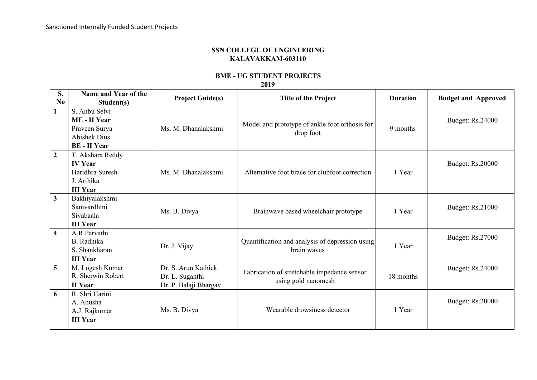## **SSN COLLEGE OF ENGINEERING KALAVAKKAM-603110**

## **BME - UG STUDENT PROJECTS**

**2019**

| S.<br>No.               | Name and Year of the<br>Student(s)                                                           | <b>Project Guide(s)</b>                                         | <b>Title of the Project</b>                                        | <b>Duration</b> | <b>Budget and Approved</b> |
|-------------------------|----------------------------------------------------------------------------------------------|-----------------------------------------------------------------|--------------------------------------------------------------------|-----------------|----------------------------|
| $\mathbf{1}$            | S. Anbu Selvi<br>ME - II Year<br>Praveen Surya<br><b>Abishek Dius</b><br><b>BE</b> - II Year | Ms. M. Dhanalakshmi                                             | Model and prototype of ankle foot orthosis for<br>drop foot        | 9 months        | <b>Budget: Rs.24000</b>    |
| $\overline{2}$          | T. Akshara Reddy<br><b>IV Year</b><br>Haridhra Suresh<br>J. Arthika<br><b>III Year</b>       | Ms. M. Dhanalakshmi                                             | Alternative foot brace for clubfoot correction                     | 1 Year          | <b>Budget: Rs.20000</b>    |
| 3                       | Bakhiyalakshmi<br>Samvardhini<br>Sivabaala<br><b>III Year</b>                                | Ms. B. Divya                                                    | Brainwave based wheelchair prototype                               | 1 Year          | <b>Budget: Rs.21000</b>    |
| $\overline{\mathbf{4}}$ | A.R.Parvathi<br>B. Radhika<br>S. Shankharan<br><b>III Year</b>                               | Dr. J. Vijay                                                    | Quantification and analysis of depression using<br>brain waves     | 1 Year          | <b>Budget: Rs.27000</b>    |
| 5                       | M. Logesh Kumar<br>R. Sherwin Robert<br><b>II</b> Year                                       | Dr. S. Arun Kathick<br>Dr. L. Suganthi<br>Dr. P. Balaji Bhargav | Fabrication of stretchable impedance sensor<br>using gold nanomesh | 18 months       | <b>Budget: Rs.24000</b>    |
| 6                       | R. Shri Harini<br>A. Anusha<br>A.J. Rajkumar<br><b>III Year</b>                              | Ms. B. Divya                                                    | Wearable drowsiness detector                                       | 1 Year          | <b>Budget: Rs.20000</b>    |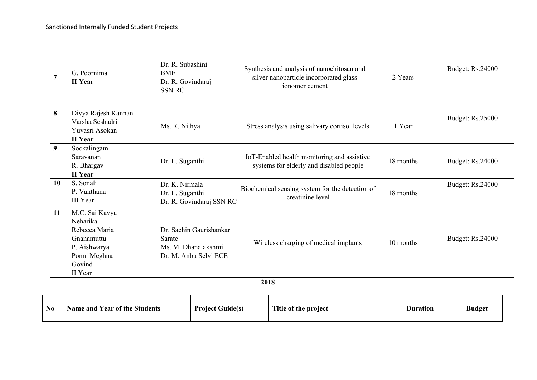| 7  | G. Poornima<br><b>II</b> Year                                                                                  | Dr. R. Subashini<br><b>BME</b><br>Dr. R. Govindaraj<br><b>SSN RC</b>              | Synthesis and analysis of nanochitosan and<br>silver nanoparticle incorporated glass<br>ionomer cement | 2 Years   | <b>Budget: Rs.24000</b> |
|----|----------------------------------------------------------------------------------------------------------------|-----------------------------------------------------------------------------------|--------------------------------------------------------------------------------------------------------|-----------|-------------------------|
| 8  | Divya Rajesh Kannan<br>Varsha Seshadri<br>Yuvasri Asokan<br>II Year                                            | Ms. R. Nithya                                                                     | Stress analysis using salivary cortisol levels                                                         | 1 Year    | <b>Budget: Rs.25000</b> |
| 9  | Sockalingam<br>Saravanan<br>R. Bhargav<br><b>II</b> Year                                                       | Dr. L. Suganthi                                                                   | IoT-Enabled health monitoring and assistive<br>systems for elderly and disabled people                 | 18 months | <b>Budget: Rs.24000</b> |
| 10 | S. Sonali<br>P. Vanthana<br><b>III</b> Year                                                                    | Dr. K. Nirmala<br>Dr. L. Suganthi<br>Dr. R. Govindaraj SSN RC                     | Biochemical sensing system for the detection of<br>creatinine level                                    | 18 months | <b>Budget: Rs.24000</b> |
| 11 | M.C. Sai Kavya<br>Neharika<br>Rebecca Maria<br>Gnanamuttu<br>P. Aishwarya<br>Ponni Meghna<br>Govind<br>II Year | Dr. Sachin Gaurishankar<br>Sarate<br>Ms. M. Dhanalakshmi<br>Dr. M. Anbu Selvi ECE | Wireless charging of medical implants                                                                  | 10 months | <b>Budget: Rs.24000</b> |

**2018**

| N <sub>o</sub> | <b>Name and Year of the Students</b> | <b>Project Guide(s)</b> | Title of the project | <b>Duration</b> | <b>Budget</b> |
|----------------|--------------------------------------|-------------------------|----------------------|-----------------|---------------|
|----------------|--------------------------------------|-------------------------|----------------------|-----------------|---------------|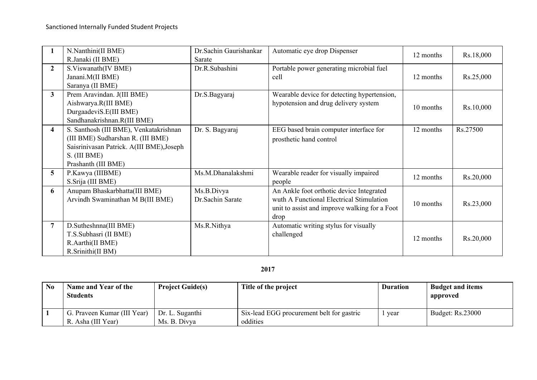|                         | N.Nanthini(II BME)<br>R.Janaki (II BME)                                                                                                                         | Dr.Sachin Gaurishankar<br>Sarate | Automatic eye drop Dispenser                                                                                                                  | 12 months | Rs.18,000 |
|-------------------------|-----------------------------------------------------------------------------------------------------------------------------------------------------------------|----------------------------------|-----------------------------------------------------------------------------------------------------------------------------------------------|-----------|-----------|
| $\mathbf{2}$            | S.Viswanath(IV BME)<br>Janani.M(II BME)<br>Saranya (II BME)                                                                                                     | Dr.R.Subashini                   | Portable power generating microbial fuel<br>cell                                                                                              | 12 months | Rs.25,000 |
| 3 <sup>1</sup>          | Prem Aravindan. J(III BME)<br>Aishwarya.R(III BME)<br>DurgaadeviS.E(III BME)<br>Sandhanakrishnan.R(III BME)                                                     | Dr.S.Bagyaraj                    | Wearable device for detecting hypertension,<br>hypotension and drug delivery system                                                           | 10 months | Rs.10,000 |
| $\overline{\mathbf{4}}$ | S. Santhosh (III BME), Venkatakrishnan<br>(III BME) Sudharshan R. (III BME)<br>Saisrinivasan Patrick. A(III BME), Joseph<br>S. (III BME)<br>Prashanth (III BME) | Dr. S. Bagyaraj                  | EEG based brain computer interface for<br>prosthetic hand control                                                                             | 12 months | Rs.27500  |
| 5 <sup>5</sup>          | P.Kawya (IIIBME)<br>S.Srija (III BME)                                                                                                                           | Ms.M.Dhanalakshmi                | Wearable reader for visually impaired<br>people                                                                                               | 12 months | Rs.20,000 |
| 6                       | Anupam Bhaskarbhatta(III BME)<br>Arvindh Swaminathan M B(III BME)                                                                                               | Ms.B.Divya<br>Dr.Sachin Sarate   | An Ankle foot orthotic device Integrated<br>wuth A Functional Electrical Stimulation<br>unit to assist and improve walking for a Foot<br>drop | 10 months | Rs.23,000 |
|                         | D.Sutheshnna(III BME)<br>T.S.Subhasri (II BME)<br>R.Aarthi(II BME)<br>R.Srinithi(II BM)                                                                         | Ms.R.Nithya                      | Automatic writing stylus for visually<br>challenged                                                                                           | 12 months | Rs.20,000 |

## **2017**

| N <sub>0</sub> | Name and Year of the<br><b>Students</b> | <b>Project Guide(s)</b> | Title of the project                      | <b>Duration</b> | <b>Budget and items</b><br>approved |
|----------------|-----------------------------------------|-------------------------|-------------------------------------------|-----------------|-------------------------------------|
|                | G. Praveen Kumar (III Year)             | Dr. L. Suganthi         | Six-lead EGG procurement belt for gastric | year            | Budget: Rs.23000                    |
|                | R. Asha (III Year)                      | Ms. B. Divya            | oddities                                  |                 |                                     |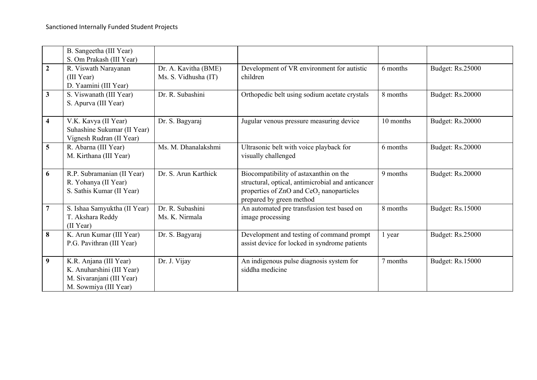|                 | B. Sangeetha (III Year)<br>S. Om Prakash (III Year)                                                       |                                              |                                                                                                                                                                                 |           |                         |
|-----------------|-----------------------------------------------------------------------------------------------------------|----------------------------------------------|---------------------------------------------------------------------------------------------------------------------------------------------------------------------------------|-----------|-------------------------|
| $\overline{2}$  | R. Viswath Narayanan<br>(III Year)<br>D. Yaamini (III Year)                                               | Dr. A. Kavitha (BME)<br>Ms. S. Vidhusha (IT) | Development of VR environment for autistic<br>children                                                                                                                          | 6 months  | <b>Budget: Rs.25000</b> |
| $\mathbf{3}$    | S. Viswanath (III Year)<br>S. Apurva (III Year)                                                           | Dr. R. Subashini                             | Orthopedic belt using sodium acetate crystals                                                                                                                                   | 8 months  | <b>Budget: Rs.20000</b> |
| 4               | V.K. Kavya (II Year)<br>Suhashine Sukumar (II Year)<br>Vignesh Rudran (II Year)                           | Dr. S. Bagyaraj                              | Jugular venous pressure measuring device                                                                                                                                        | 10 months | <b>Budget: Rs.20000</b> |
| $5\phantom{.0}$ | R. Abarna (III Year)<br>M. Kirthana (III Year)                                                            | Ms. M. Dhanalakshmi                          | Ultrasonic belt with voice playback for<br>visually challenged                                                                                                                  | 6 months  | <b>Budget: Rs.20000</b> |
| 6               | R.P. Subramanian (II Year)<br>R. Yohanya (II Year)<br>S. Sathis Kumar (II Year)                           | Dr. S. Arun Karthick                         | Biocompatibility of astaxanthin on the<br>structural, optical, antimicrobial and anticancer<br>properties of ZnO and CeO <sub>2</sub> nanoparticles<br>prepared by green method | 9 months  | <b>Budget: Rs.20000</b> |
| 7               | S. Ishaa Samyuktha (II Year)<br>T. Akshara Reddy<br>(II Year)                                             | Dr. R. Subashini<br>Ms. K. Nirmala           | An automated pre transfusion test based on<br>image processing                                                                                                                  | 8 months  | <b>Budget: Rs.15000</b> |
| 8               | K. Arun Kumar (III Year)<br>P.G. Pavithran (III Year)                                                     | Dr. S. Bagyaraj                              | Development and testing of command prompt<br>assist device for locked in syndrome patients                                                                                      | 1 year    | <b>Budget: Rs.25000</b> |
| 9               | K.R. Anjana (III Year)<br>K. Anuharshini (III Year)<br>M. Sivaranjani (III Year)<br>M. Sowmiya (III Year) | Dr. J. Vijay                                 | An indigenous pulse diagnosis system for<br>siddha medicine                                                                                                                     | 7 months  | <b>Budget: Rs.15000</b> |